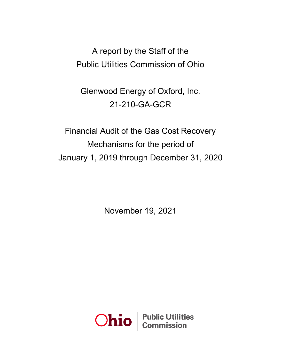A report by the Staff of the Public Utilities Commission of Ohio

Glenwood Energy of Oxford, Inc. 21-210-GA-GCR

Financial Audit of the Gas Cost Recovery Mechanisms for the period of January 1, 2019 through December 31, 2020

November 19, 2021

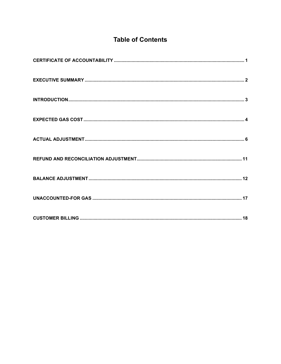## **Table of Contents**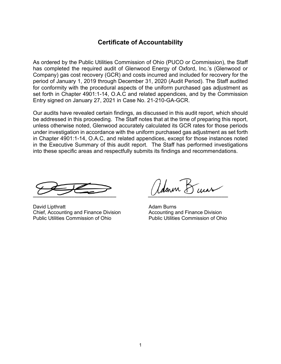### **Certificate of Accountability**

<span id="page-2-0"></span>As ordered by the Public Utilities Commission of Ohio (PUCO or Commission), the Staff has completed the required audit of Glenwood Energy of Oxford, Inc.'s (Glenwood or Company) gas cost recovery (GCR) and costs incurred and included for recovery for the period of January 1, 2019 through December 31, 2020 (Audit Period). The Staff audited for conformity with the procedural aspects of the uniform purchased gas adjustment as set forth in Chapter 4901:1-14, O.A.C and related appendices, and by the Commission Entry signed on January 27, 2021 in Case No. 21-210-GA-GCR.

Our audits have revealed certain findings, as discussed in this audit report, which should be addressed in this proceeding. The Staff notes that at the time of preparing this report, unless otherwise noted, Glenwood accurately calculated its GCR rates for those periods under investigation in accordance with the uniform purchased gas adjustment as set forth in Chapter 4901:1-14, O.A.C, and related appendices, except for those instances noted in the Executive Summary of this audit report. The Staff has performed investigations into these specific areas and respectfully submits its findings and recommendations.

 $\overline{\phantom{a}}$ 

David Lipthratt **Adam Burns** Controller Adam Burns Chief, Accounting and Finance Division **Accounting and Finance Division**<br>Public Utilities Commission of Ohio **Public Utilities Commission of Ohio** Public Utilities Commission of Ohio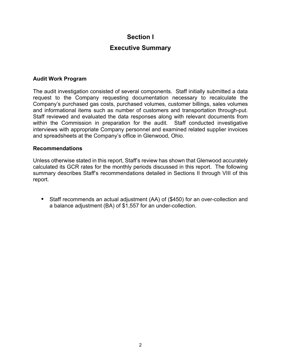## **Section I**

### **Executive Summary**

#### <span id="page-3-0"></span>**Audit Work Program**

The audit investigation consisted of several components. Staff initially submitted a data request to the Company requesting documentation necessary to recalculate the Company's purchased gas costs, purchased volumes, customer billings, sales volumes and informational items such as number of customers and transportation through-put. Staff reviewed and evaluated the data responses along with relevant documents from within the Commission in preparation for the audit. Staff conducted investigative interviews with appropriate Company personnel and examined related supplier invoices and spreadsheets at the Company's office in Glenwood, Ohio.

#### **Recommendations**

Unless otherwise stated in this report, Staff's review has shown that Glenwood accurately calculated its GCR rates for the monthly periods discussed in this report. The following summary describes Staff's recommendations detailed in Sections II through VIII of this report.

**•** Staff recommends an actual adjustment (AA) of (\$450) for an over-collection and a balance adjustment (BA) of \$1,557 for an under-collection.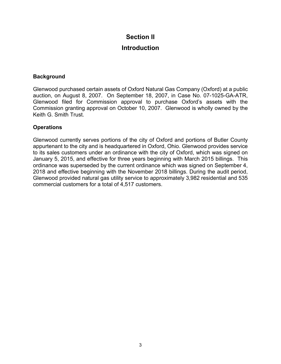### **Section II**

### **Introduction**

#### <span id="page-4-0"></span>**Background**

Glenwood purchased certain assets of Oxford Natural Gas Company (Oxford) at a public auction, on August 8, 2007. On September 18, 2007, in Case No. 07-1025-GA-ATR, Glenwood filed for Commission approval to purchase Oxford's assets with the Commission granting approval on October 10, 2007. Glenwood is wholly owned by the Keith G. Smith Trust.

#### **Operations**

Glenwood currently serves portions of the city of Oxford and portions of Butler County appurtenant to the city and is headquartered in Oxford, Ohio. Glenwood provides service to its sales customers under an ordinance with the city of Oxford, which was signed on January 5, 2015, and effective for three years beginning with March 2015 billings. This ordinance was superseded by the current ordinance which was signed on September 4, 2018 and effective beginning with the November 2018 billings. During the audit period, Glenwood provided natural gas utility service to approximately 3,982 residential and 535 commercial customers for a total of 4,517 customers.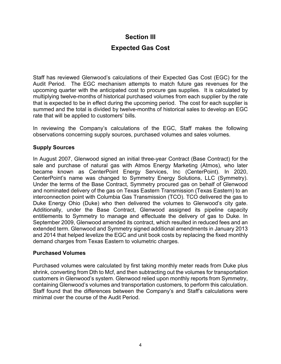### **Section III**

## **Expected Gas Cost**

<span id="page-5-0"></span>Staff has reviewed Glenwood's calculations of their Expected Gas Cost (EGC) for the Audit Period. The EGC mechanism attempts to match future gas revenues for the upcoming quarter with the anticipated cost to procure gas supplies. It is calculated by multiplying twelve-months of historical purchased volumes from each supplier by the rate that is expected to be in effect during the upcoming period. The cost for each supplier is summed and the total is divided by twelve-months of historical sales to develop an EGC rate that will be applied to customers' bills.

In reviewing the Company's calculations of the EGC, Staff makes the following observations concerning supply sources, purchased volumes and sales volumes.

#### **Supply Sources**

In August 2007, Glenwood signed an initial three-year Contract (Base Contract) for the sale and purchase of natural gas with Atmos Energy Marketing (Atmos), who later became known as CenterPoint Energy Services, Inc (CenterPoint). In 2020, CenterPoint's name was changed to Symmetry Energy Solutions, LLC (Symmetry). Under the terms of the Base Contract, Symmetry procured gas on behalf of Glenwood and nominated delivery of the gas on Texas Eastern Transmission (Texas Eastern) to an interconnection point with Columbia Gas Transmission (TCO). TCO delivered the gas to Duke Energy Ohio (Duke) who then delivered the volumes to Glenwood's city gate. Additionally, under the Base Contract, Glenwood assigned its pipeline capacity entitlements to Symmetry to manage and effectuate the delivery of gas to Duke. In September 2009, Glenwood amended its contract, which resulted in reduced fees and an extended term. Glenwood and Symmetry signed additional amendments in January 2013 and 2014 that helped levelize the EGC and unit book costs by replacing the fixed monthly demand charges from Texas Eastern to volumetric charges.

#### **Purchased Volumes**

Purchased volumes were calculated by first taking monthly meter reads from Duke plus shrink, converting from Dth to Mcf, and then subtracting out the volumes for transportation customers in Glenwood's system. Glenwood relied upon monthly reports from Symmetry, containing Glenwood's volumes and transportation customers, to perform this calculation. Staff found that the differences between the Company's and Staff's calculations were minimal over the course of the Audit Period.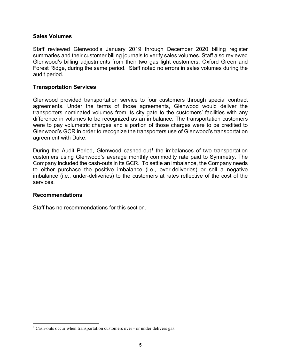#### **Sales Volumes**

Staff reviewed Glenwood's January 2019 through December 2020 billing register summaries and their customer billing journals to verify sales volumes. Staff also reviewed Glenwood's billing adjustments from their two gas light customers, Oxford Green and Forest Ridge, during the same period. Staff noted no errors in sales volumes during the audit period.

#### **Transportation Services**

Glenwood provided transportation service to four customers through special contract agreements. Under the terms of those agreements, Glenwood would deliver the transporters nominated volumes from its city gate to the customers' facilities with any difference in volumes to be recognized as an imbalance. The transportation customers were to pay volumetric charges and a portion of those charges were to be credited to Glenwood's GCR in order to recognize the transporters use of Glenwood's transportation agreement with Duke.

During the Audit Period, Glenwood cashed-out<sup>[1](#page-6-0)</sup> the imbalances of two transportation customers using Glenwood's average monthly commodity rate paid to Symmetry. The Company included the cash-outs in its GCR. To settle an imbalance, the Company needs to either purchase the positive imbalance (i.e., over-deliveries) or sell a negative imbalance (i.e., under-deliveries) to the customers at rates reflective of the cost of the services.

#### **Recommendations**

Staff has no recommendations for this section.

<span id="page-6-0"></span><sup>&</sup>lt;sup>1</sup> Cash-outs occur when transportation customers over - or under delivers gas.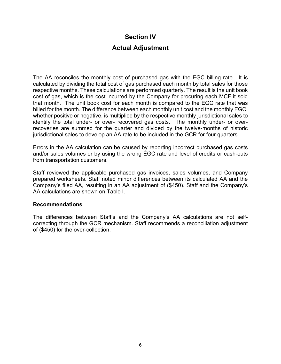### **Section IV**

### **Actual Adjustment**

<span id="page-7-0"></span>The AA reconciles the monthly cost of purchased gas with the EGC billing rate. It is calculated by dividing the total cost of gas purchased each month by total sales for those respective months. These calculations are performed quarterly. The result is the unit book cost of gas, which is the cost incurred by the Company for procuring each MCF it sold that month. The unit book cost for each month is compared to the EGC rate that was billed for the month. The difference between each monthly unit cost and the monthly EGC, whether positive or negative, is multiplied by the respective monthly jurisdictional sales to identify the total under- or over- recovered gas costs. The monthly under- or overrecoveries are summed for the quarter and divided by the twelve-months of historic jurisdictional sales to develop an AA rate to be included in the GCR for four quarters.

Errors in the AA calculation can be caused by reporting incorrect purchased gas costs and/or sales volumes or by using the wrong EGC rate and level of credits or cash-outs from transportation customers.

Staff reviewed the applicable purchased gas invoices, sales volumes, and Company prepared worksheets. Staff noted minor differences between its calculated AA and the Company's filed AA, resulting in an AA adjustment of (\$450). Staff and the Company's AA calculations are shown on Table I.

#### **Recommendations**

The differences between Staff's and the Company's AA calculations are not selfcorrecting through the GCR mechanism. Staff recommends a reconciliation adjustment of (\$450) for the over-collection.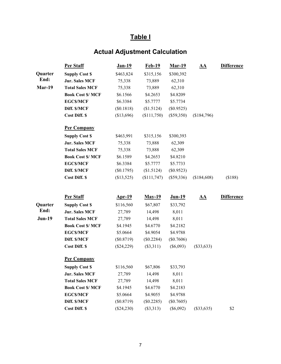# **Actual Adjustment Calculation**

| (\$188)           |
|-------------------|
| <b>Difference</b> |
|                   |
|                   |
|                   |
|                   |
|                   |
|                   |
|                   |
|                   |
|                   |
|                   |
|                   |
|                   |
|                   |
|                   |
|                   |
|                   |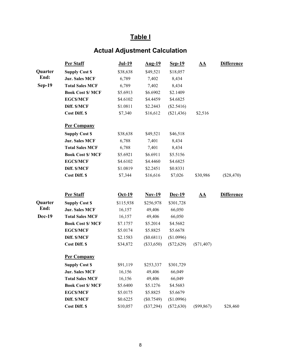# **Actual Adjustment Calculation**

|               | <b>Per Staff</b>         | <b>Jul-19</b> | <u>Aug-19</u> | <u>Sep-19</u> | <u>AA</u>    | <b>Difference</b> |
|---------------|--------------------------|---------------|---------------|---------------|--------------|-------------------|
| Quarter       | <b>Supply Cost \$</b>    | \$38,638      | \$49,521      | \$18,057      |              |                   |
| End:          | <b>Jur. Sales MCF</b>    | 6,789         | 7,402         | 8,434         |              |                   |
| $Sep-19$      | <b>Total Sales MCF</b>   | 6,789         | 7,402         | 8,434         |              |                   |
|               | <b>Book Cost \$/ MCF</b> | \$5.6913      | \$6.6902      | \$2.1409      |              |                   |
|               | <b>EGCS/MCF</b>          | \$4.6102      | \$4.4459      | \$4.6825      |              |                   |
|               | Diff. \$/MCF             | \$1.0811      | \$2.2443      | $(\$2.5416)$  |              |                   |
|               | <b>Cost Diff. \$</b>     | \$7,340       | \$16,612      | $(\$21,436)$  | \$2,516      |                   |
|               | <b>Per Company</b>       |               |               |               |              |                   |
|               | <b>Supply Cost \$</b>    | \$38,638      | \$49,521      | \$46,518      |              |                   |
|               | <b>Jur. Sales MCF</b>    | 6,788         | 7,401         | 8,434         |              |                   |
|               | <b>Total Sales MCF</b>   | 6,788         | 7,401         | 8,434         |              |                   |
|               | <b>Book Cost \$/ MCF</b> | \$5.6921      | \$6.6911      | \$5.5156      |              |                   |
|               | <b>EGCS/MCF</b>          | \$4.6102      | \$4.4460      | \$4.6825      |              |                   |
|               | Diff. \$/MCF             | \$1.0819      | \$2.2451      | \$0.8331      |              |                   |
|               | Cost Diff. \$            | \$7,344       | \$16,616      | \$7,026       | \$30,986     | (\$28,470)        |
|               | <b>Per Staff</b>         | $Oct-19$      | $Nov-19$      | Dec-19        | <u>AA</u>    | <b>Difference</b> |
| Quarter       | <b>Supply Cost \$</b>    | \$115,938     | \$256,978     | \$301,728     |              |                   |
| End:          | <b>Jur. Sales MCF</b>    | 16,157        | 49,406        | 66,050        |              |                   |
| <b>Dec-19</b> | <b>Total Sales MCF</b>   | 16,157        | 49,406        | 66,050        |              |                   |
|               | <b>Book Cost \$/ MCF</b> | \$7.1757      | \$5.2014      | \$4.5682      |              |                   |
|               | <b>EGCS/MCF</b>          | \$5.0174      | \$5.8825      | \$5.6678      |              |                   |
|               | Diff. \$/MCF             | \$2.1583      | (\$0.6811)    | (\$1.0996)    |              |                   |
|               | Cost Diff. \$            | \$34,872      | $(\$33,650)$  | $(\$72,629)$  | $(\$71,407)$ |                   |
|               | <b>Per Company</b>       |               |               |               |              |                   |
|               | <b>Supply Cost \$</b>    | \$91,119      | \$253,337     | \$301,729     |              |                   |
|               | <b>Jur. Sales MCF</b>    | 16,156        | 49,406        | 66,049        |              |                   |
|               | <b>Total Sales MCF</b>   | 16,156        | 49,406        | 66,049        |              |                   |
|               | <b>Book Cost \$/ MCF</b> | \$5.6400      | \$5.1276      | \$4.5683      |              |                   |
|               | <b>EGCS/MCF</b>          | \$5.0175      | \$5.8825      | \$5.6679      |              |                   |
|               | Diff. \$/MCF             | \$0.6225      | $(\$0.7549)$  | (\$1.0996)    |              |                   |
|               | Cost Diff. \$            | \$10,057      | $(\$37,294)$  | $(\$72,630)$  | $(\$99,867)$ | \$28,460          |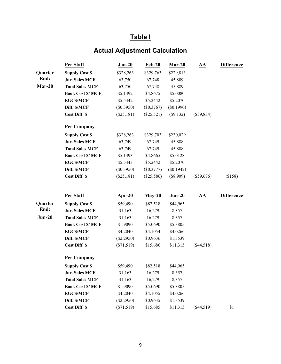# **Actual Adjustment Calculation**

|          | <b>Per Staff</b>         | <u>Jan-20</u> | <b>Feb-20</b> | $Mar-20$    | <u>AA</u>    | <b>Difference</b> |
|----------|--------------------------|---------------|---------------|-------------|--------------|-------------------|
| Quarter  | <b>Supply Cost \$</b>    | \$328,263     | \$329,763     | \$229,813   |              |                   |
| End:     | <b>Jur. Sales MCF</b>    | 63,750        | 67,748        | 45,889      |              |                   |
| $Mar-20$ | <b>Total Sales MCF</b>   | 63,750        | 67,748        | 45,889      |              |                   |
|          | <b>Book Cost \$/ MCF</b> | \$5.1492      | \$4.8675      | \$5.0080    |              |                   |
|          | <b>EGCS/MCF</b>          | \$5.5442      | \$5.2442      | \$5.2070    |              |                   |
|          | Diff. \$/MCF             | (\$0.3950)    | $(\$0.3767)$  | (\$0.1990)  |              |                   |
|          | Cost Diff. \$            | (\$25,181)    | $(\$25,521)$  | $(\$9,132)$ | $(\$59,834)$ |                   |
|          | <b>Per Company</b>       |               |               |             |              |                   |
|          | <b>Supply Cost \$</b>    | \$328,263     | \$329,703     | \$230,029   |              |                   |
|          | <b>Jur. Sales MCF</b>    | 63,749        | 67,749        | 45,888      |              |                   |
|          | <b>Total Sales MCF</b>   | 63,749        | 67,749        | 45,888      |              |                   |
|          | <b>Book Cost \$/ MCF</b> | \$5.1493      | \$4.8665      | \$5.0128    |              |                   |
|          | <b>EGCS/MCF</b>          | \$5.5443      | \$5.2442      | \$5.2070    |              |                   |
|          | Diff. \$/MCF             | (\$0.3950)    | $(\$0.3777)$  | (\$0.1942)  |              |                   |
|          | <b>Cost Diff. \$</b>     | $(\$25,181)$  | $(\$25,586)$  | $(\$8,909)$ | $(\$59,676)$ | (\$158)           |
|          | <b>Per Staff</b>         | $Arr-20$      | $May-20$      | $J$ un-20   | <u>AA</u>    | <b>Difference</b> |
| Quarter  | <b>Supply Cost \$</b>    | \$59,490      | \$82,518      | \$44,965    |              |                   |
| End:     | <b>Jur. Sales MCF</b>    | 31,163        | 16,279        | 8,357       |              |                   |
| $Jun-20$ | <b>Total Sales MCF</b>   | 31,163        | 16,279        | 8,357       |              |                   |
|          | <b>Book Cost \$/ MCF</b> | \$1.9090      | \$5.0690      | \$5.3805    |              |                   |
|          | <b>EGCS/MCF</b>          | \$4.2040      | \$4.1054      | \$4.0266    |              |                   |
|          | Diff. \$/MCF             | $(\$2.2950)$  | \$0.9636      | \$1.3539    |              |                   |
|          | <b>Cost Diff. \$</b>     | $(\$71,519)$  | \$15,686      | \$11,315    | $(\$44,518)$ |                   |
|          | <b>Per Company</b>       |               |               |             |              |                   |
|          | <b>Supply Cost \$</b>    | \$59,490      | \$82,518      | \$44,965    |              |                   |
|          | <b>Jur. Sales MCF</b>    | 31,163        | 16,279        | 8,357       |              |                   |
|          | <b>Total Sales MCF</b>   | 31,163        | 16,279        | 8,357       |              |                   |
|          | <b>Book Cost \$/ MCF</b> | \$1.9090      | \$5.0690      | \$5.3805    |              |                   |
|          | <b>EGCS/MCF</b>          | \$4.2040      | \$4.1055      | \$4.0266    |              |                   |
|          | Diff. \$/MCF             | (\$2.2950)    | \$0.9635      | \$1.3539    |              |                   |
|          | <b>Cost Diff. \$</b>     | $(\$71,519)$  | \$15,685      | \$11,315    | $(\$44,519)$ | \$1               |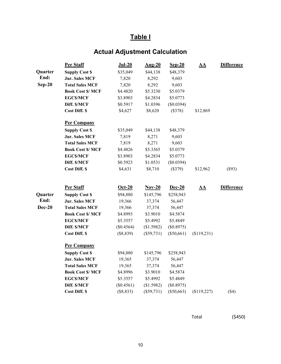# **Actual Adjustment Calculation**

|               | Per Staff                | $Jul-20$     | $Aug-20$     | $Sep-20$     | $\underline{\mathbf{A}}\underline{\mathbf{A}}$ | <b>Difference</b> |
|---------------|--------------------------|--------------|--------------|--------------|------------------------------------------------|-------------------|
| Quarter       | <b>Supply Cost \$</b>    | \$35,049     | \$44,138     | \$48,379     |                                                |                   |
| End:          | <b>Jur. Sales MCF</b>    | 7,820        | 8,292        | 9,603        |                                                |                   |
| $Sep-20$      | <b>Total Sales MCF</b>   | 7,820        | 8,292        | 9,603        |                                                |                   |
|               | <b>Book Cost \$/ MCF</b> | \$4.4820     | \$5.3230     | \$5.0379     |                                                |                   |
|               | <b>EGCS/MCF</b>          | \$3.8903     | \$4.2834     | \$5.0773     |                                                |                   |
|               | Diff. \$/MCF             | \$0.5917     | \$1.0396     | (\$0.0394)   |                                                |                   |
|               | Cost Diff. \$            | \$4,627      | \$8,620      | (\$378)      | \$12,869                                       |                   |
|               | <b>Per Company</b>       |              |              |              |                                                |                   |
|               | <b>Supply Cost \$</b>    | \$35,049     | \$44,138     | \$48,379     |                                                |                   |
|               | <b>Jur. Sales MCF</b>    | 7,819        | 8,271        | 9,603        |                                                |                   |
|               | <b>Total Sales MCF</b>   | 7,819        | 8,271        | 9,603        |                                                |                   |
|               | <b>Book Cost \$/ MCF</b> | \$4.4826     | \$5.3365     | \$5.0379     |                                                |                   |
|               | <b>EGCS/MCF</b>          | \$3.8903     | \$4.2834     | \$5.0773     |                                                |                   |
|               | Diff. \$/MCF             | \$0.5923     | \$1.0531     | (\$0.0394)   |                                                |                   |
|               | Cost Diff. \$            | \$4,631      | \$8,710      | (\$379)      | \$12,962                                       | (\$93)            |
|               | Per Staff                | $Oct-20$     | $Nov-20$     | $Dec-20$     | $\underline{\mathbf{A}}\underline{\mathbf{A}}$ | <b>Difference</b> |
| Quarter       | <b>Supply Cost \$</b>    | \$94,880     | \$145,796    | \$258,943    |                                                |                   |
| End:          | <b>Jur. Sales MCF</b>    | 19,366       | 37,374       | 56,447       |                                                |                   |
| <b>Dec-20</b> | <b>Total Sales MCF</b>   | 19,366       | 37,374       | 56,447       |                                                |                   |
|               | <b>Book Cost \$/ MCF</b> | \$4.8993     | \$3.9010     | \$4.5874     |                                                |                   |
|               | <b>EGCS/MCF</b>          | \$5.3557     | \$5.4992     | \$5.4849     |                                                |                   |
|               | Diff. \$/MCF             | $(\$0.4564)$ | (\$1.5982)   | (\$0.8975)   |                                                |                   |
|               | Cost Diff. \$            | $(\$8,839)$  | $(\$59,731)$ | $(\$50,661)$ | (\$119,231)                                    |                   |
|               | <b>Per Company</b>       |              |              |              |                                                |                   |
|               | <b>Supply Cost \$</b>    | \$94,880     | \$145,796    | \$258,943    |                                                |                   |
|               | <b>Jur. Sales MCF</b>    | 19,365       | 37,374       | 56,447       |                                                |                   |
|               | <b>Total Sales MCF</b>   | 19,365       | 37,374       | 56,447       |                                                |                   |
|               | <b>Book Cost \$/ MCF</b> | \$4.8996     | \$3.9010     | \$4.5874     |                                                |                   |
|               | <b>EGCS/MCF</b>          | \$5.3557     | \$5.4992     | \$5.4849     |                                                |                   |
|               | Diff. \$/MCF             | $(\$0.4561)$ | (\$1.5982)   | (\$0.8975)   |                                                |                   |
|               | <b>Cost Diff. \$</b>     | (\$8,833)    | (\$59,731)   | $(\$50,663)$ | (\$119,227)                                    | (\$4)             |

Total (\$450)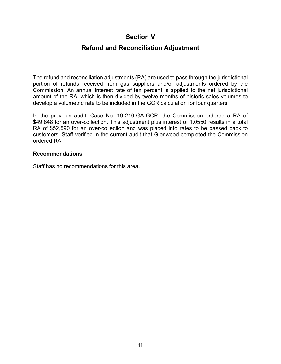### **Section V**

### **Refund and Reconciliation Adjustment**

<span id="page-12-0"></span>The refund and reconciliation adjustments (RA) are used to pass through the jurisdictional portion of refunds received from gas suppliers and/or adjustments ordered by the Commission. An annual interest rate of ten percent is applied to the net jurisdictional amount of the RA, which is then divided by twelve months of historic sales volumes to develop a volumetric rate to be included in the GCR calculation for four quarters.

In the previous audit. Case No. 19-210-GA-GCR, the Commission ordered a RA of \$49,848 for an over-collection. This adjustment plus interest of 1.0550 results in a total RA of \$52,590 for an over-collection and was placed into rates to be passed back to customers. Staff verified in the current audit that Glenwood completed the Commission ordered RA.

#### **Recommendations**

Staff has no recommendations for this area.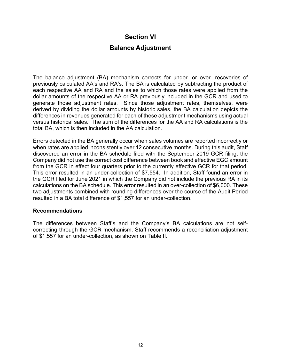### **Section VI**

### **Balance Adjustment**

<span id="page-13-0"></span>The balance adjustment (BA) mechanism corrects for under- or over- recoveries of previously calculated AA's and RA's. The BA is calculated by subtracting the product of each respective AA and RA and the sales to which those rates were applied from the dollar amounts of the respective AA or RA previously included in the GCR and used to generate those adjustment rates. Since those adjustment rates, themselves, were derived by dividing the dollar amounts by historic sales, the BA calculation depicts the differences in revenues generated for each of these adjustment mechanisms using actual versus historical sales. The sum of the differences for the AA and RA calculations is the total BA, which is then included in the AA calculation.

Errors detected in the BA generally occur when sales volumes are reported incorrectly or when rates are applied inconsistently over 12 consecutive months. During this audit, Staff discovered an error in the BA schedule filed with the September 2019 GCR filing, the Company did not use the correct cost difference between book and effective EGC amount from the GCR in effect four quarters prior to the currently effective GCR for that period. This error resulted in an under-collection of \$7,554. In addition, Staff found an error in the GCR filed for June 2021 in which the Company did not include the previous RA in its calculations on the BA schedule. This error resulted in an over-collection of \$6,000. These two adjustments combined with rounding differences over the course of the Audit Period resulted in a BA total difference of \$1,557 for an under-collection.

#### **Recommendations**

The differences between Staff's and the Company's BA calculations are not selfcorrecting through the GCR mechanism. Staff recommends a reconciliation adjustment of \$1,557 for an under-collection, as shown on Table II.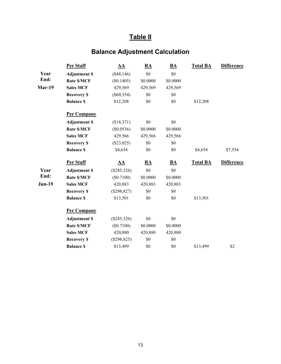# **Balance Adjustment Calculation**

|               | Per Staff            | ${\bf \underline{A}}{\bf \underline{A}}$ | $\underline{RA}$          | $\underline{\mathbf{BA}}$ | <b>Total BA</b> | <b>Difference</b> |
|---------------|----------------------|------------------------------------------|---------------------------|---------------------------|-----------------|-------------------|
| Year          | <b>Adjustment \$</b> | (\$48,146)                               | \$0                       | \$0                       |                 |                   |
| End:          | <b>Rate \$/MCF</b>   | (\$0.1405)                               | \$0.0000                  | \$0.0000                  |                 |                   |
| Mar-19        | <b>Sales MCF</b>     | 429,569                                  | 429,569                   | 429,569                   |                 |                   |
|               | <b>Recovery \$</b>   | $(\$60,354)$                             | \$0                       | \$0                       |                 |                   |
|               | <b>Balance \$</b>    | \$12,208                                 | \$0                       | \$0                       | \$12,208        |                   |
|               | <b>Per Company</b>   |                                          |                           |                           |                 |                   |
|               | <b>Adjustment \$</b> | (\$18,371)                               | \$0                       | \$0                       |                 |                   |
|               | <b>Rate \$/MCF</b>   | (\$0.0536)                               | \$0.0000                  | \$0.0000                  |                 |                   |
|               | <b>Sales MCF</b>     | 429,566                                  | 429,566                   | 429,566                   |                 |                   |
|               | <b>Recovery \$</b>   | $(\$23,025)$                             | \$0                       | \$0                       |                 |                   |
|               | <b>Balance \$</b>    | \$4,654                                  | \$0                       | \$0                       | \$4,654         | \$7,554           |
|               | <b>Per Staff</b>     | $\underline{AA}$                         | $\underline{\mathbf{RA}}$ | $\underline{\mathbf{BA}}$ | <b>Total BA</b> | <b>Difference</b> |
| Year          | <b>Adjustment \$</b> | (\$285,326)                              | \$0                       | \$0                       |                 |                   |
| End:          | <b>Rate \$/MCF</b>   | (\$0.7100)                               | \$0.0000                  | \$0.0000                  |                 |                   |
| <b>Jun-19</b> | <b>Sales MCF</b>     | 420,883                                  | 420,883                   | 420,883                   |                 |                   |
|               | <b>Recovery \$</b>   | $(\$298,827)$                            | \$0                       | \$0                       |                 |                   |
|               | <b>Balance \$</b>    | \$13,501                                 | \$0                       | \$0                       | \$13,501        |                   |
|               | <b>Per Company</b>   |                                          |                           |                           |                 |                   |
|               | <b>Adjustment \$</b> | $(\$285,326)$                            | \$0                       | \$0                       |                 |                   |
|               | Rate \$/MCF          | (\$0.7100)                               | \$0.0000                  | \$0.0000                  |                 |                   |
|               | <b>Sales MCF</b>     | 420,880                                  | 420,880                   | 420,880                   |                 |                   |
|               | <b>Recovery \$</b>   | $(\$298,825)$                            | \$0                       | \$0                       |                 |                   |
|               | <b>Balance \$</b>    | \$13,499                                 | \$0                       | \$0                       | \$13,499        | \$2               |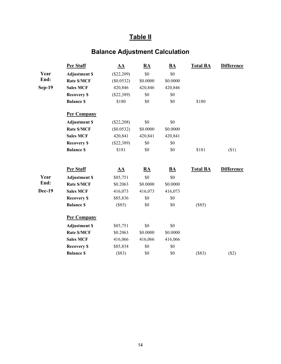# **Balance Adjustment Calculation**

|               | Per Staff            | AA           | ${\bf RA}$ | $\underline{\mathbf{BA}}$ | <b>Total BA</b> | <b>Difference</b> |
|---------------|----------------------|--------------|------------|---------------------------|-----------------|-------------------|
| Year          | <b>Adjustment \$</b> | $(\$22,209)$ | \$0        | \$0                       |                 |                   |
| End:          | Rate \$/MCF          | $(\$0.0532)$ | \$0.0000   | \$0.0000                  |                 |                   |
| <b>Sep-19</b> | <b>Sales MCF</b>     | 420,846      | 420,846    | 420,846                   |                 |                   |
|               | <b>Recovery \$</b>   | $(\$22,389)$ | \$0        | \$0                       |                 |                   |
|               | <b>Balance \$</b>    | \$180        | \$0        | \$0                       | \$180           |                   |
|               | <b>Per Company</b>   |              |            |                           |                 |                   |
|               | <b>Adjustment \$</b> | $(\$22,208)$ | \$0        | \$0                       |                 |                   |
|               | Rate \$/MCF          | $(\$0.0532)$ | \$0.0000   | \$0.0000                  |                 |                   |
|               | <b>Sales MCF</b>     | 420,841      | 420,841    | 420,841                   |                 |                   |
|               | <b>Recovery \$</b>   | $(\$22,389)$ | \$0        | \$0                       |                 |                   |
|               | <b>Balance \$</b>    | \$181        | \$0        | \$0                       | \$181           | $(\$1)$           |
|               | Per Staff            | ${\bf AA}$   | ${\bf RA}$ | $\underline{\mathbf{BA}}$ | <b>Total BA</b> | <b>Difference</b> |
| Year          | <b>Adjustment \$</b> | \$85,751     | $\$0$      | $\$0$                     |                 |                   |
| End:          | <b>Rate \$/MCF</b>   | \$0.2063     | \$0.0000   | \$0.0000                  |                 |                   |
| <b>Dec-19</b> | <b>Sales MCF</b>     | 416,073      | 416,073    | 416,073                   |                 |                   |
|               | <b>Recovery \$</b>   | \$85,836     | \$0        | \$0                       |                 |                   |
|               | <b>Balance \$</b>    | (\$85)       | \$0        | \$0                       | (\$85)          |                   |
|               | <b>Per Company</b>   |              |            |                           |                 |                   |
|               | <b>Adjustment \$</b> | \$85,751     | \$0        | \$0                       |                 |                   |
|               | Rate \$/MCF          | \$0.2063     | \$0.0000   | \$0.0000                  |                 |                   |
|               | <b>Sales MCF</b>     | 416,066      | 416,066    | 416,066                   |                 |                   |
|               | <b>Recovery \$</b>   | \$85,834     | \$0        | \$0                       |                 |                   |
|               | <b>Balance \$</b>    | (\$83)       | \$0        | \$0                       | (\$83)          | (\$2)             |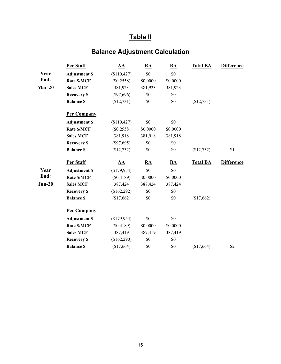# **Balance Adjustment Calculation**

|          | Per Staff            | $\underline{AA}$ | $\underline{\mathbf{RA}}$ | $\mathbf{BA}$ | <b>Total BA</b> | <b>Difference</b> |
|----------|----------------------|------------------|---------------------------|---------------|-----------------|-------------------|
| Year     | <b>Adjustment \$</b> | (\$110,427)      | \$0                       | \$0           |                 |                   |
| End:     | Rate \$/MCF          | (\$0.2558)       | \$0.0000                  | \$0.0000      |                 |                   |
| $Mar-20$ | <b>Sales MCF</b>     | 381,923          | 381,923                   | 381,923       |                 |                   |
|          | <b>Recovery \$</b>   | $(\$97,696)$     | \$0                       | \$0           |                 |                   |
|          | <b>Balance \$</b>    | (\$12,731)       | \$0                       | \$0           | (\$12,731)      |                   |
|          | <b>Per Company</b>   |                  |                           |               |                 |                   |
|          | <b>Adjustment \$</b> | (\$110,427)      | \$0                       | \$0           |                 |                   |
|          | <b>Rate \$/MCF</b>   | $(\$0.2558)$     | \$0.0000                  | \$0.0000      |                 |                   |
|          | <b>Sales MCF</b>     | 381,918          | 381,918                   | 381,918       |                 |                   |
|          | <b>Recovery \$</b>   | $(\$97,695)$     | \$0                       | \$0           |                 |                   |
|          | <b>Balance \$</b>    | (\$12,732)       | \$0                       | \$0           | (\$12,732)      | \$1               |
|          | Per Staff            | ${\bf AA}$       | RA                        | BA            | <b>Total BA</b> | <b>Difference</b> |
| Year     | <b>Adjustment \$</b> | (\$179,954)      | \$0                       | \$0           |                 |                   |
| End:     | <b>Rate \$/MCF</b>   | (\$0.4189)       | \$0.0000                  | \$0.0000      |                 |                   |
| $Jun-20$ | <b>Sales MCF</b>     | 387,424          | 387,424                   | 387,424       |                 |                   |
|          | <b>Recovery \$</b>   | (\$162,292)      | \$0                       | \$0           |                 |                   |
|          | <b>Balance \$</b>    | (\$17,662)       | \$0                       | \$0           | (\$17,662)      |                   |
|          | <b>Per Company</b>   |                  |                           |               |                 |                   |
|          | <b>Adjustment \$</b> | (\$179,954)      | \$0                       | \$0           |                 |                   |
|          | Rate \$/MCF          | (\$0.4189)       | \$0.0000                  | \$0.0000      |                 |                   |
|          | <b>Sales MCF</b>     | 387,419          | 387,419                   | 387,419       |                 |                   |
|          | <b>Recovery \$</b>   | (\$162,290)      | \$0                       | \$0           |                 |                   |
|          | <b>Balance \$</b>    | (\$17,664)       | \$0                       | \$0           | (\$17,664)      | \$2               |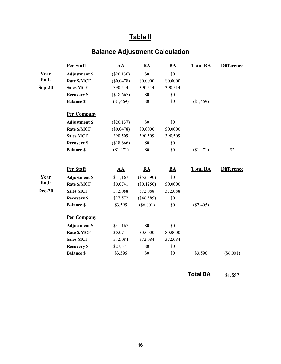# **Balance Adjustment Calculation**

|               | Per Staff            | ${\bf AA}$                               | RA               | $\underline{\mathbf{BA}}$ | <b>Total BA</b> | <b>Difference</b> |
|---------------|----------------------|------------------------------------------|------------------|---------------------------|-----------------|-------------------|
| Year          | <b>Adjustment \$</b> | $(\$20,136)$                             | \$0              | \$0                       |                 |                   |
| End:          | <b>Rate \$/MCF</b>   | (\$0.0478)                               | \$0.0000         | \$0.0000                  |                 |                   |
| $Sep-20$      | <b>Sales MCF</b>     | 390,514                                  | 390,514          | 390,514                   |                 |                   |
|               | <b>Recovery \$</b>   | (\$18,667)                               | \$0              | \$0                       |                 |                   |
|               | <b>Balance \$</b>    | (\$1,469)                                | \$0              | \$0                       | (\$1,469)       |                   |
|               | <b>Per Company</b>   |                                          |                  |                           |                 |                   |
|               | <b>Adjustment \$</b> | $(\$20,137)$                             | \$0              | \$0                       |                 |                   |
|               | Rate \$/MCF          | (\$0.0478)                               | \$0.0000         | \$0.0000                  |                 |                   |
|               | <b>Sales MCF</b>     | 390,509                                  | 390,509          | 390,509                   |                 |                   |
|               | <b>Recovery \$</b>   | (\$18,666)                               | \$0              | \$0                       |                 |                   |
|               | <b>Balance \$</b>    | (\$1,471)                                | \$0              | \$0                       | (\$1,471)       | \$2               |
|               | Per Staff            | ${\bf \underline{A}}{\bf \underline{A}}$ | $\underline{RA}$ | $\underline{\mathbf{BA}}$ | <b>Total BA</b> | <b>Difference</b> |
| Year          | <b>Adjustment \$</b> | \$31,167                                 | $(\$52,590)$     | \$0                       |                 |                   |
| End:          | <b>Rate \$/MCF</b>   | \$0.0741                                 | (\$0.1250)       | \$0.0000                  |                 |                   |
| <b>Dec-20</b> | <b>Sales MCF</b>     | 372,088                                  | 372,088          | 372,088                   |                 |                   |
|               | <b>Recovery \$</b>   | \$27,572                                 | $(\$46,589)$     | \$0                       |                 |                   |
|               | <b>Balance \$</b>    | \$3,595                                  | $(\$6,001)$      | \$0                       | (\$2,405)       |                   |
|               | <b>Per Company</b>   |                                          |                  |                           |                 |                   |
|               | <b>Adjustment \$</b> | \$31,167                                 | \$0              | \$0                       |                 |                   |
|               | <b>Rate \$/MCF</b>   | \$0.0741                                 | \$0.0000         | \$0.0000                  |                 |                   |
|               | <b>Sales MCF</b>     | 372,084                                  | 372,084          | 372,084                   |                 |                   |
|               | <b>Recovery \$</b>   | \$27,571                                 | \$0              | \$0                       |                 |                   |
|               | <b>Balance \$</b>    | \$3,596                                  | \$0              | \$0                       | \$3,596         | $(\$6,001)$       |

**Total BA \$1,557**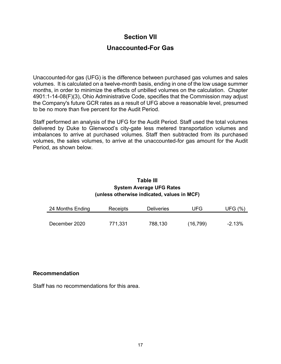### **Section VII**

### **Unaccounted-For Gas**

<span id="page-18-0"></span>Unaccounted-for gas (UFG) is the difference between purchased gas volumes and sales volumes. It is calculated on a twelve-month basis, ending in one of the low usage summer months, in order to minimize the effects of unbilled volumes on the calculation. Chapter 4901:1-14-08(F)(3), Ohio Administrative Code, specifies that the Commission may adjust the Company's future GCR rates as a result of UFG above a reasonable level, presumed to be no more than five percent for the Audit Period.

Staff performed an analysis of the UFG for the Audit Period. Staff used the total volumes delivered by Duke to Glenwood's city-gate less metered transportation volumes and imbalances to arrive at purchased volumes. Staff then subtracted from its purchased volumes, the sales volumes, to arrive at the unaccounted-for gas amount for the Audit Period, as shown below.

#### **Table III System Average UFG Rates (unless otherwise indicated, values in MCF)**

| 24 Months Ending | Receipts | <b>Deliveries</b> | UFG       | UFG (%)  |
|------------------|----------|-------------------|-----------|----------|
|                  |          |                   |           |          |
| December 2020    | 771,331  | 788,130           | (16, 799) | $-2.13%$ |

#### **Recommendation**

Staff has no recommendations for this area.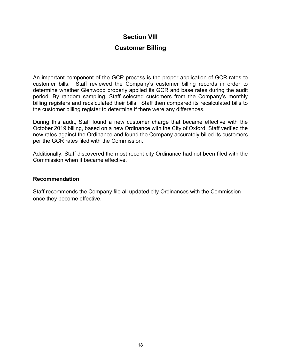### **Section VIII**

### **Customer Billing**

<span id="page-19-0"></span>An important component of the GCR process is the proper application of GCR rates to customer bills. Staff reviewed the Company's customer billing records in order to determine whether Glenwood properly applied its GCR and base rates during the audit period. By random sampling, Staff selected customers from the Company's monthly billing registers and recalculated their bills. Staff then compared its recalculated bills to the customer billing register to determine if there were any differences.

During this audit, Staff found a new customer charge that became effective with the October 2019 billing, based on a new Ordinance with the City of Oxford. Staff verified the new rates against the Ordinance and found the Company accurately billed its customers per the GCR rates filed with the Commission.

Additionally, Staff discovered the most recent city Ordinance had not been filed with the Commission when it became effective.

#### **Recommendation**

Staff recommends the Company file all updated city Ordinances with the Commission once they become effective.